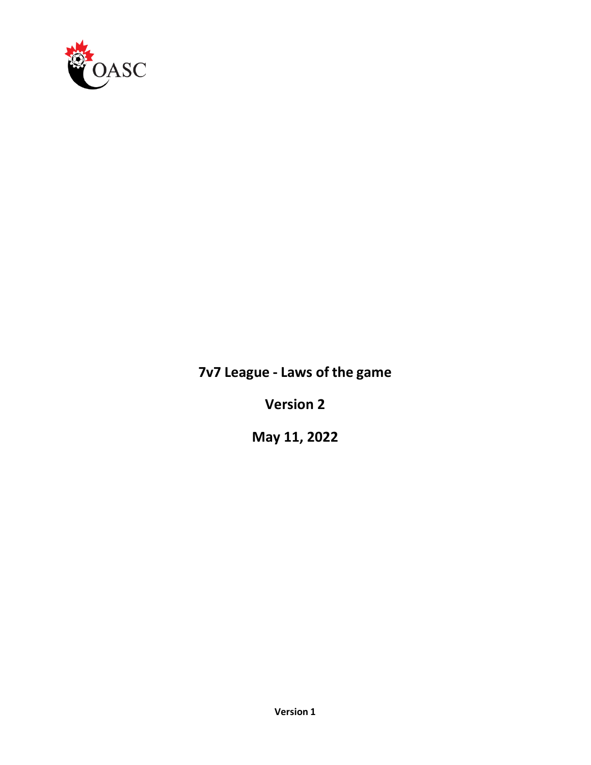

# **7v7 League - Laws of the game**

**Version 2**

**May 11, 2022**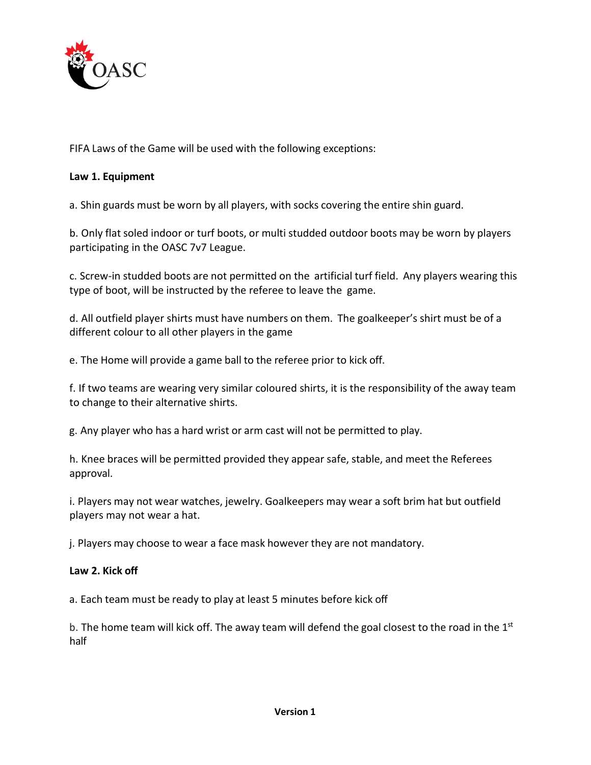

FIFA Laws of the Game will be used with the following exceptions:

## **Law 1. Equipment**

a. Shin guards must be worn by all players, with socks covering the entire shin guard.

b. Only flat soled indoor or turf boots, or multi studded outdoor boots may be worn by players participating in the OASC 7v7 League.

c. Screw-in studded boots are not permitted on the artificial turf field. Any players wearing this type of boot, will be instructed by the referee to leave the game.

d. All outfield player shirts must have numbers on them. The goalkeeper's shirt must be of a different colour to all other players in the game

e. The Home will provide a game ball to the referee prior to kick off.

f. If two teams are wearing very similar coloured shirts, it is the responsibility of the away team to change to their alternative shirts.

g. Any player who has a hard wrist or arm cast will not be permitted to play.

h. Knee braces will be permitted provided they appear safe, stable, and meet the Referees approval.

i. Players may not wear watches, jewelry. Goalkeepers may wear a soft brim hat but outfield players may not wear a hat.

j. Players may choose to wear a face mask however they are not mandatory.

## **Law 2. Kick off**

a. Each team must be ready to play at least 5 minutes before kick off

b. The home team will kick off. The away team will defend the goal closest to the road in the  $1<sup>st</sup>$ half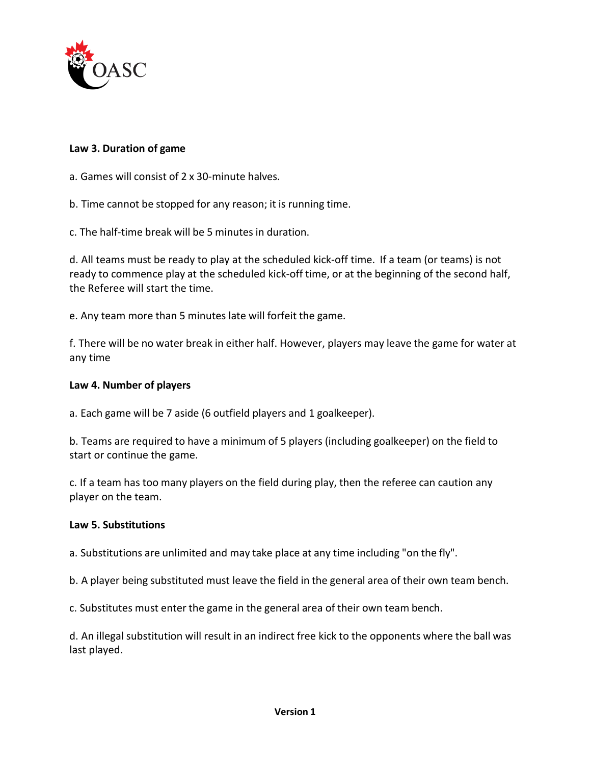

## **Law 3. Duration of game**

- a. Games will consist of 2 x 30-minute halves.
- b. Time cannot be stopped for any reason; it is running time.
- c. The half-time break will be 5 minutes in duration.

d. All teams must be ready to play at the scheduled kick-off time. If a team (or teams) is not ready to commence play at the scheduled kick-off time, or at the beginning of the second half, the Referee will start the time.

e. Any team more than 5 minutes late will forfeit the game.

f. There will be no water break in either half. However, players may leave the game for water at any time

#### **Law 4. Number of players**

a. Each game will be 7 aside (6 outfield players and 1 goalkeeper).

b. Teams are required to have a minimum of 5 players (including goalkeeper) on the field to start or continue the game.

c. If a team has too many players on the field during play, then the referee can caution any player on the team.

#### **Law 5. Substitutions**

a. Substitutions are unlimited and may take place at any time including "on the fly".

b. A player being substituted must leave the field in the general area of their own team bench.

c. Substitutes must enter the game in the general area of their own team bench.

d. An illegal substitution will result in an indirect free kick to the opponents where the ball was last played.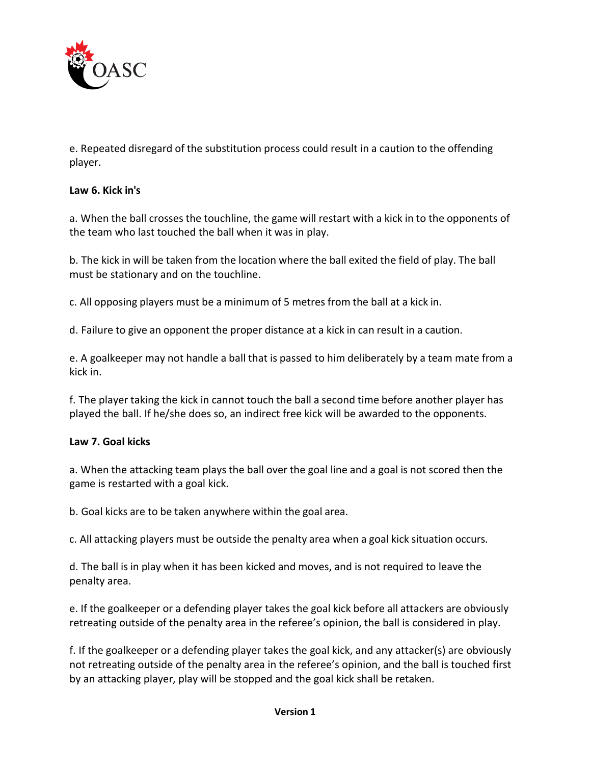

e. Repeated disregard of the substitution process could result in a caution to the offending player.

# **Law 6. Kick in's**

a. When the ball crosses the touchline, the game will restart with a kick in to the opponents of the team who last touched the ball when it was in play.

b. The kick in will be taken from the location where the ball exited the field of play. The ball must be stationary and on the touchline.

c. All opposing players must be a minimum of 5 metres from the ball at a kick in.

d. Failure to give an opponent the proper distance at a kick in can result in a caution.

e. A goalkeeper may not handle a ball that is passed to him deliberately by a team mate from a kick in.

f. The player taking the kick in cannot touch the ball a second time before another player has played the ball. If he/she does so, an indirect free kick will be awarded to the opponents.

## **Law 7. Goal kicks**

a. When the attacking team plays the ball over the goal line and a goal is not scored then the game is restarted with a goal kick.

b. Goal kicks are to be taken anywhere within the goal area.

c. All attacking players must be outside the penalty area when a goal kick situation occurs.

d. The ball is in play when it has been kicked and moves, and is not required to leave the penalty area.

e. If the goalkeeper or a defending player takes the goal kick before all attackers are obviously retreating outside of the penalty area in the referee's opinion, the ball is considered in play.

f. If the goalkeeper or a defending player takes the goal kick, and any attacker(s) are obviously not retreating outside of the penalty area in the referee's opinion, and the ball is touched first by an attacking player, play will be stopped and the goal kick shall be retaken.

#### **Version 1**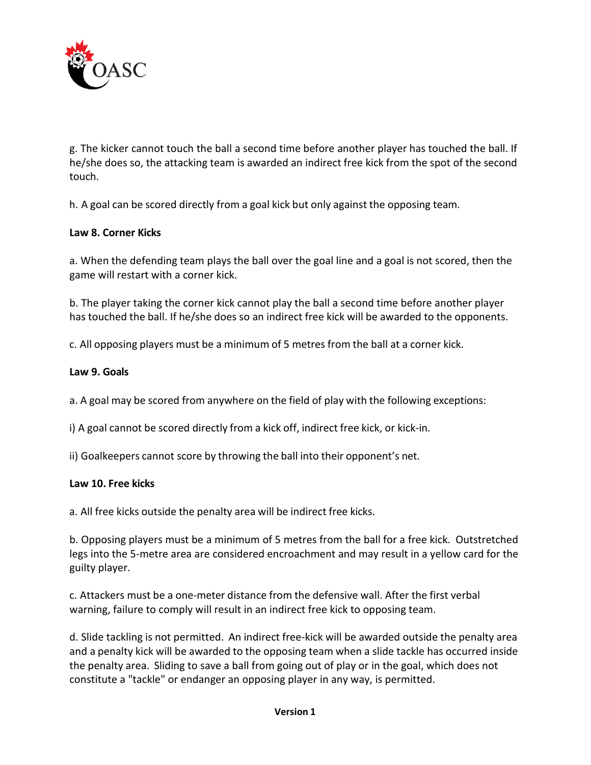

g. The kicker cannot touch the ball a second time before another player has touched the ball. If he/she does so, the attacking team is awarded an indirect free kick from the spot of the second touch.

h. A goal can be scored directly from a goal kick but only against the opposing team.

## **Law 8. Corner Kicks**

a. When the defending team plays the ball over the goal line and a goal is not scored, then the game will restart with a corner kick.

b. The player taking the corner kick cannot play the ball a second time before another player has touched the ball. If he/she does so an indirect free kick will be awarded to the opponents.

c. All opposing players must be a minimum of 5 metres from the ball at a corner kick.

## **Law 9. Goals**

a. A goal may be scored from anywhere on the field of play with the following exceptions:

i) A goal cannot be scored directly from a kick off, indirect free kick, or kick-in.

ii) Goalkeepers cannot score by throwing the ball into their opponent's net.

## **Law 10. Free kicks**

a. All free kicks outside the penalty area will be indirect free kicks.

b. Opposing players must be a minimum of 5 metres from the ball for a free kick. Outstretched legs into the 5-metre area are considered encroachment and may result in a yellow card for the guilty player.

c. Attackers must be a one-meter distance from the defensive wall. After the first verbal warning, failure to comply will result in an indirect free kick to opposing team.

d. Slide tackling is not permitted. An indirect free-kick will be awarded outside the penalty area and a penalty kick will be awarded to the opposing team when a slide tackle has occurred inside the penalty area. Sliding to save a ball from going out of play or in the goal, which does not constitute a "tackle" or endanger an opposing player in any way, is permitted.

#### **Version 1**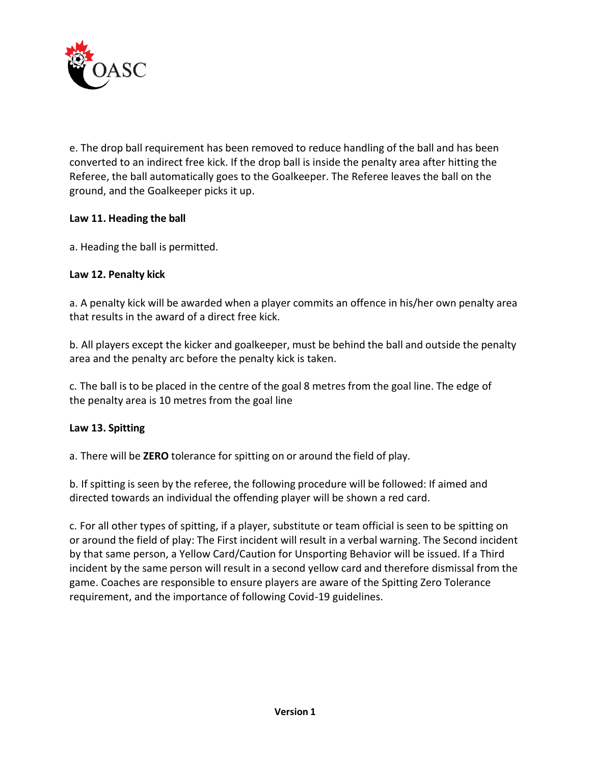

e. The drop ball requirement has been removed to reduce handling of the ball and has been converted to an indirect free kick. If the drop ball is inside the penalty area after hitting the Referee, the ball automatically goes to the Goalkeeper. The Referee leaves the ball on the ground, and the Goalkeeper picks it up.

# **Law 11. Heading the ball**

a. Heading the ball is permitted.

# **Law 12. Penalty kick**

a. A penalty kick will be awarded when a player commits an offence in his/her own penalty area that results in the award of a direct free kick.

b. All players except the kicker and goalkeeper, must be behind the ball and outside the penalty area and the penalty arc before the penalty kick is taken.

c. The ball is to be placed in the centre of the goal 8 metres from the goal line. The edge of the penalty area is 10 metres from the goal line

# **Law 13. Spitting**

a. There will be **ZERO** tolerance for spitting on or around the field of play.

b. If spitting is seen by the referee, the following procedure will be followed: If aimed and directed towards an individual the offending player will be shown a red card.

c. For all other types of spitting, if a player, substitute or team official is seen to be spitting on or around the field of play: The First incident will result in a verbal warning. The Second incident by that same person, a Yellow Card/Caution for Unsporting Behavior will be issued. If a Third incident by the same person will result in a second yellow card and therefore dismissal from the game. Coaches are responsible to ensure players are aware of the Spitting Zero Tolerance requirement, and the importance of following Covid-19 guidelines.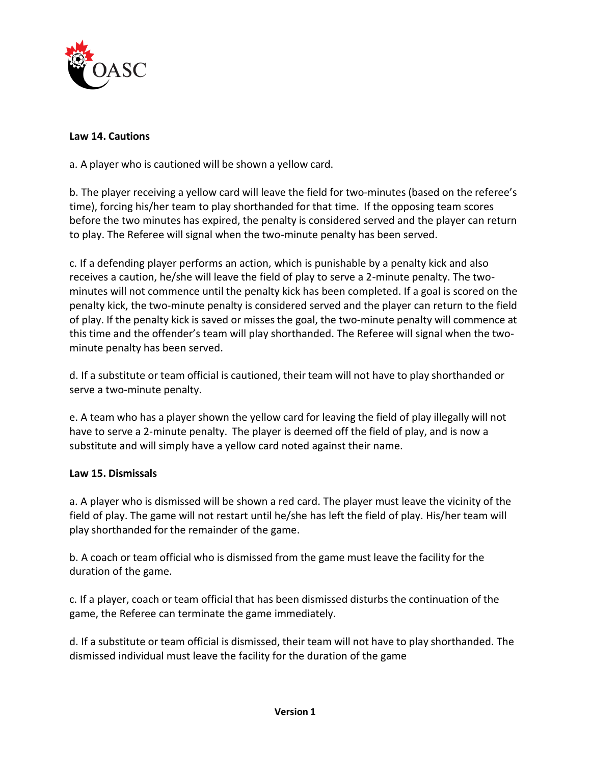

# **Law 14. Cautions**

a. A player who is cautioned will be shown a yellow card.

b. The player receiving a yellow card will leave the field for two-minutes (based on the referee's time), forcing his/her team to play shorthanded for that time. If the opposing team scores before the two minutes has expired, the penalty is considered served and the player can return to play. The Referee will signal when the two-minute penalty has been served.

c. If a defending player performs an action, which is punishable by a penalty kick and also receives a caution, he/she will leave the field of play to serve a 2-minute penalty. The twominutes will not commence until the penalty kick has been completed. If a goal is scored on the penalty kick, the two-minute penalty is considered served and the player can return to the field of play. If the penalty kick is saved or misses the goal, the two-minute penalty will commence at this time and the offender's team will play shorthanded. The Referee will signal when the twominute penalty has been served.

d. If a substitute or team official is cautioned, their team will not have to play shorthanded or serve a two-minute penalty.

e. A team who has a player shown the yellow card for leaving the field of play illegally will not have to serve a 2-minute penalty. The player is deemed off the field of play, and is now a substitute and will simply have a yellow card noted against their name.

## **Law 15. Dismissals**

a. A player who is dismissed will be shown a red card. The player must leave the vicinity of the field of play. The game will not restart until he/she has left the field of play. His/her team will play shorthanded for the remainder of the game.

b. A coach or team official who is dismissed from the game must leave the facility for the duration of the game.

c. If a player, coach or team official that has been dismissed disturbs the continuation of the game, the Referee can terminate the game immediately.

d. If a substitute or team official is dismissed, their team will not have to play shorthanded. The dismissed individual must leave the facility for the duration of the game